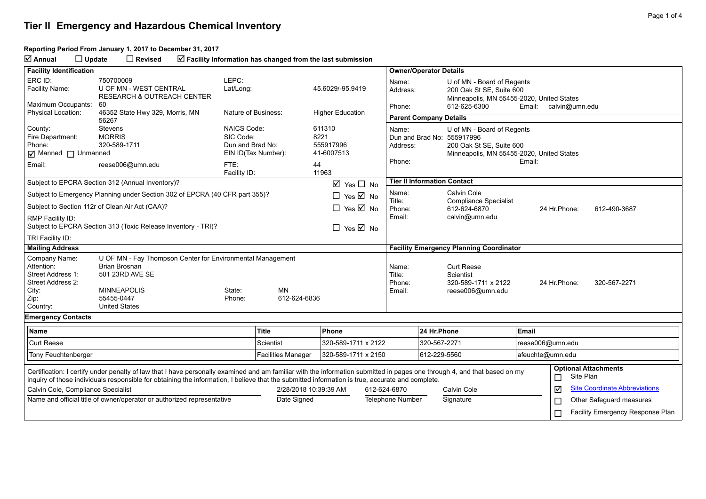#### **Reporting Period From January 1, 2017 to December 31, 2017**

**Annual Update Revised Facility Information has changed from the last submission**

| <b>Facility Identification</b>                                                                                                                                                                                                                                                                                                |                                                                                                                                                                   |                                                                             |                           |                                                          |                                               | <b>Owner/Operator Details</b>       |              |                                                                                                                                   |                                    |               |                                      |
|-------------------------------------------------------------------------------------------------------------------------------------------------------------------------------------------------------------------------------------------------------------------------------------------------------------------------------|-------------------------------------------------------------------------------------------------------------------------------------------------------------------|-----------------------------------------------------------------------------|---------------------------|----------------------------------------------------------|-----------------------------------------------|-------------------------------------|--------------|-----------------------------------------------------------------------------------------------------------------------------------|------------------------------------|---------------|--------------------------------------|
| ERC ID:<br>Facility Name:                                                                                                                                                                                                                                                                                                     | 750700009<br>U OF MN - WEST CENTRAL<br><b>RESEARCH &amp; OUTREACH CENTER</b>                                                                                      | LEPC:<br>Lat/Long:                                                          |                           | 45.6029/-95.9419                                         |                                               | Name:<br>Address:                   |              | U of MN - Board of Regents<br>200 Oak St SE, Suite 600<br>Minneapolis, MN 55455-2020, United States                               |                                    |               |                                      |
| Maximum Occupants:<br><b>Physical Location:</b>                                                                                                                                                                                                                                                                               | 60<br>46352 State Hwy 329, Morris, MN                                                                                                                             | Nature of Business:                                                         |                           | <b>Higher Education</b>                                  |                                               | Phone:                              |              | 612-625-6300<br>Email: calvin@umn.edu                                                                                             |                                    |               |                                      |
|                                                                                                                                                                                                                                                                                                                               | 56267                                                                                                                                                             |                                                                             |                           |                                                          |                                               | <b>Parent Company Details</b>       |              |                                                                                                                                   |                                    |               |                                      |
| County:<br>Fire Department:<br>Phone:<br>$\boxed{\triangleleft}$ Manned $\boxed{\phantom{a}}$ Unmanned<br>Email:                                                                                                                                                                                                              | <b>Stevens</b><br><b>MORRIS</b><br>320-589-1711<br>reese006@umn.edu                                                                                               | <b>NAICS Code:</b><br>SIC Code:<br>Dun and Brad No:<br>FTE:<br>Facility ID: | EIN ID(Tax Number):       | 611310<br>8221<br>555917996<br>41-6007513<br>44<br>11963 |                                               | Name:<br>Address:<br>Phone:         |              | U of MN - Board of Regents<br>Dun and Brad No: 555917996<br>200 Oak St SE, Suite 600<br>Minneapolis, MN 55455-2020, United States | Email:                             |               |                                      |
|                                                                                                                                                                                                                                                                                                                               | Subject to EPCRA Section 312 (Annual Inventory)?                                                                                                                  |                                                                             |                           | $\boxtimes$ Yes $\Box$ No                                |                                               | <b>Tier II Information Contact</b>  |              |                                                                                                                                   |                                    |               |                                      |
|                                                                                                                                                                                                                                                                                                                               | Subject to Emergency Planning under Section 302 of EPCRA (40 CFR part 355)?                                                                                       |                                                                             |                           | $\Box$ Yes $\boxtimes$ No                                |                                               | Name:                               |              | Calvin Cole                                                                                                                       |                                    |               |                                      |
|                                                                                                                                                                                                                                                                                                                               | Subject to Section 112r of Clean Air Act (CAA)?                                                                                                                   |                                                                             |                           | $\Box$ Yes $\boxtimes$ No                                |                                               | Title:<br>Phone:                    |              | <b>Compliance Specialist</b><br>612-624-6870                                                                                      |                                    | 24 Hr.Phone:  | 612-490-3687                         |
| RMP Facility ID:<br>Subject to EPCRA Section 313 (Toxic Release Inventory - TRI)?<br>$\Box$ Yes $\overline{\boxtimes}$ No                                                                                                                                                                                                     |                                                                                                                                                                   |                                                                             |                           |                                                          | Email:<br>calvin@umn.edu                      |                                     |              |                                                                                                                                   |                                    |               |                                      |
| TRI Facility ID:                                                                                                                                                                                                                                                                                                              |                                                                                                                                                                   |                                                                             |                           |                                                          |                                               |                                     |              |                                                                                                                                   |                                    |               |                                      |
| <b>Mailing Address</b>                                                                                                                                                                                                                                                                                                        |                                                                                                                                                                   |                                                                             |                           |                                                          |                                               |                                     |              | <b>Facility Emergency Planning Coordinator</b>                                                                                    |                                    |               |                                      |
| Company Name:<br>Attention:<br>Street Address 1:<br>Street Address 2:<br>City:<br>Zip:<br>Country:                                                                                                                                                                                                                            | U OF MN - Fay Thompson Center for Environmental Management<br><b>Brian Brosnan</b><br>501 23RD AVE SE<br><b>MINNEAPOLIS</b><br>55455-0447<br><b>United States</b> | State:<br>Phone:                                                            | <b>MN</b><br>612-624-6836 |                                                          |                                               | Name:<br>Title:<br>Phone:<br>Email: |              | <b>Curt Reese</b><br>Scientist<br>320-589-1711 x 2122<br>reese006@umn.edu                                                         |                                    | 24 Hr. Phone: | 320-567-2271                         |
| <b>Emergency Contacts</b>                                                                                                                                                                                                                                                                                                     |                                                                                                                                                                   |                                                                             |                           |                                                          |                                               |                                     |              |                                                                                                                                   |                                    |               |                                      |
| <b>Name</b>                                                                                                                                                                                                                                                                                                                   |                                                                                                                                                                   |                                                                             | <b>Title</b>              | Phone                                                    |                                               |                                     | 24 Hr.Phone  |                                                                                                                                   | <b>Email</b>                       |               |                                      |
| <b>Curt Reese</b>                                                                                                                                                                                                                                                                                                             |                                                                                                                                                                   |                                                                             | Scientist                 | 320-589-1711 x 2122                                      |                                               |                                     | 320-567-2271 |                                                                                                                                   | reese006@umn.edu                   |               |                                      |
| Tony Feuchtenberger                                                                                                                                                                                                                                                                                                           |                                                                                                                                                                   |                                                                             | <b>Facilities Manager</b> | 320-589-1711 x 2150                                      |                                               |                                     | 612-229-5560 |                                                                                                                                   | afeuchte@umn.edu                   |               |                                      |
| Certification: I certify under penalty of law that I have personally examined and am familiar with the information submitted in pages one through 4, and that based on my<br>inquiry of those individuals responsible for obtaining the information, I believe that the submitted information is true, accurate and complete. |                                                                                                                                                                   |                                                                             |                           |                                                          | <b>Optional Attachments</b><br>Site Plan<br>□ |                                     |              |                                                                                                                                   |                                    |               |                                      |
| Calvin Cole, Compliance Specialist                                                                                                                                                                                                                                                                                            |                                                                                                                                                                   |                                                                             |                           | 2/28/2018 10:39:39 AM                                    |                                               | 612-624-6870                        |              | Calvin Cole                                                                                                                       |                                    | ☑             | <b>Site Coordinate Abbreviations</b> |
| Name and official title of owner/operator or authorized representative                                                                                                                                                                                                                                                        |                                                                                                                                                                   | Date Signed                                                                 |                           |                                                          | Telephone Number                              |                                     | Signature    |                                                                                                                                   | Other Safeguard measures<br>$\Box$ |               |                                      |
|                                                                                                                                                                                                                                                                                                                               |                                                                                                                                                                   |                                                                             |                           |                                                          |                                               |                                     |              |                                                                                                                                   |                                    | Г             | Facility Emergency Response Plan     |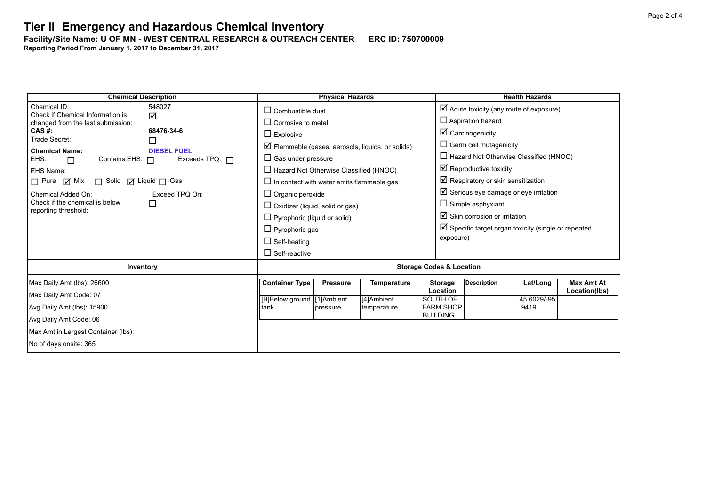**Facility/Site Name: U OF MN - WEST CENTRAL RESEARCH & OUTREACH CENTER-----ERC ID: 750700009**

**Reporting Period From January 1, 2017 to December 31, 2017**

| <b>Chemical Description</b>                                   | <b>Physical Hazards</b>                                          | <b>Health Hazards</b>                                                                              |  |  |  |  |
|---------------------------------------------------------------|------------------------------------------------------------------|----------------------------------------------------------------------------------------------------|--|--|--|--|
| Chemical ID:<br>548027<br>Check if Chemical Information is    | $\Box$ Combustible dust                                          | $\boxtimes$ Acute toxicity (any route of exposure)                                                 |  |  |  |  |
| ☑<br>changed from the last submission:                        | $\Box$ Corrosive to metal                                        | $\Box$ Aspiration hazard                                                                           |  |  |  |  |
| 68476-34-6<br>CAS #:<br>Trade Secret:                         | $\Box$ Explosive                                                 | $\boxtimes$ Carcinogenicity                                                                        |  |  |  |  |
| □<br><b>Chemical Name:</b><br><b>DIESEL FUEL</b>              | $\triangleright$ Flammable (gases, aerosols, liquids, or solids) | $\Box$ Germ cell mutagenicity                                                                      |  |  |  |  |
| EHS:<br>Contains EHS: $\Box$<br>Exceeds TPQ: $\Box$<br>$\Box$ | $\Box$ Gas under pressure                                        | $\Box$ Hazard Not Otherwise Classified (HNOC)                                                      |  |  |  |  |
| EHS Name:                                                     | $\Box$ Hazard Not Otherwise Classified (HNOC)                    | $\boxtimes$ Reproductive toxicity                                                                  |  |  |  |  |
| □ Solid □ Liquid □ Gas<br>$\Box$ Pure $\Box$ Mix              | $\Box$ In contact with water emits flammable gas                 | $\boxtimes$ Respiratory or skin sensitization                                                      |  |  |  |  |
| Chemical Added On:<br>Exceed TPQ On:                          | $\Box$ Organic peroxide                                          | $\boxtimes$ Serious eye damage or eye irritation                                                   |  |  |  |  |
| Check if the chemical is below<br>□<br>reporting threshold:   | $\Box$ Oxidizer (liquid, solid or gas)                           | $\Box$ Simple asphyxiant                                                                           |  |  |  |  |
|                                                               | $\Box$ Pyrophoric (liquid or solid)                              | $\boxtimes$ Skin corrosion or irritation                                                           |  |  |  |  |
|                                                               | $\Box$ Pyrophoric gas                                            | $\boxtimes$ Specific target organ toxicity (single or repeated                                     |  |  |  |  |
|                                                               | $\Box$ Self-heating                                              | exposure)                                                                                          |  |  |  |  |
|                                                               | $\Box$ Self-reactive                                             |                                                                                                    |  |  |  |  |
| Inventory                                                     | <b>Storage Codes &amp; Location</b>                              |                                                                                                    |  |  |  |  |
| Max Daily Amt (lbs): 26600                                    | <b>Container Type</b><br><b>Temperature</b><br><b>Pressure</b>   | <b>Description</b><br><b>Max Amt At</b><br><b>Storage</b><br>Lat/Long<br>Location<br>Location(lbs) |  |  |  |  |
| Max Daily Amt Code: 07                                        | [B]Below ground [1]Ambient<br>[4]Ambient                         | 45.6029/-95<br>SOUTH OF                                                                            |  |  |  |  |
| Avg Daily Amt (lbs): 15900                                    | tank<br>temperature<br>pressure                                  | <b>FARM SHOP</b><br>.9419                                                                          |  |  |  |  |
| Avg Daily Amt Code: 06                                        |                                                                  | <b>BUILDING</b>                                                                                    |  |  |  |  |
| Max Amt in Largest Container (lbs):                           |                                                                  |                                                                                                    |  |  |  |  |
| No of days onsite: 365                                        |                                                                  |                                                                                                    |  |  |  |  |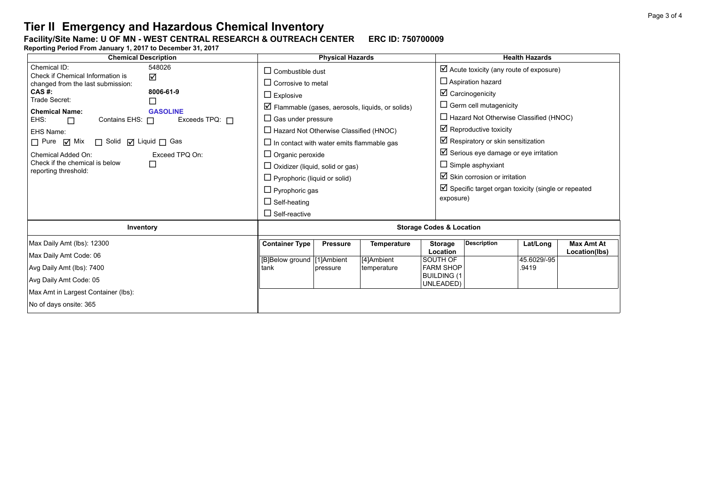#### **Facility/Site Name: U OF MN - WEST CENTRAL RESEARCH & OUTREACH CENTER-----ERC ID: 750700009**

**Reporting Period From January 1, 2017 to December 31, 2017**

| <b>Chemical Description</b>                                      | <b>Physical Hazards</b>                                          |                    | <b>Health Hazards</b>                                          |                                          |             |                   |  |
|------------------------------------------------------------------|------------------------------------------------------------------|--------------------|----------------------------------------------------------------|------------------------------------------|-------------|-------------------|--|
| Chemical ID:<br>548026<br>Check if Chemical Information is<br>☑  | $\Box$ Combustible dust                                          |                    | $\boxtimes$ Acute toxicity (any route of exposure)             |                                          |             |                   |  |
| changed from the last submission:                                | $\Box$ Corrosive to metal                                        |                    | $\Box$ Aspiration hazard                                       |                                          |             |                   |  |
| CAS #:<br>8006-61-9<br>Trade Secret:                             | $\Box$ Explosive                                                 |                    | $\boxtimes$ Carcinogenicity                                    |                                          |             |                   |  |
| $\Box$<br><b>Chemical Name:</b><br><b>GASOLINE</b>               | $\triangleright$ Flammable (gases, aerosols, liquids, or solids) |                    | $\Box$ Germ cell mutagenicity                                  |                                          |             |                   |  |
| EHS:<br>Exceeds TPQ: $\Box$<br>Contains EHS: $\Box$<br>$\Box$    | $\Box$ Gas under pressure                                        |                    | $\Box$ Hazard Not Otherwise Classified (HNOC)                  |                                          |             |                   |  |
| EHS Name:                                                        | $\Box$ Hazard Not Otherwise Classified (HNOC)                    |                    | $\boxtimes$ Reproductive toxicity                              |                                          |             |                   |  |
| $\Box$ Pure $\Box$ Mix<br>□ Solid □ Liquid □ Gas                 | $\Box$ In contact with water emits flammable gas                 |                    | $\boxtimes$ Respiratory or skin sensitization                  |                                          |             |                   |  |
| Chemical Added On:<br>Exceed TPO On:                             | $\Box$ Organic peroxide                                          |                    | $\boxtimes$ Serious eye damage or eye irritation               |                                          |             |                   |  |
| Check if the chemical is below<br>$\Box$<br>reporting threshold: | $\Box$ Oxidizer (liquid, solid or gas)                           |                    | $\Box$ Simple asphyxiant                                       |                                          |             |                   |  |
|                                                                  | $\Box$ Pyrophoric (liquid or solid)                              |                    |                                                                | $\boxtimes$ Skin corrosion or irritation |             |                   |  |
|                                                                  | $\Box$ Pyrophoric gas                                            |                    | $\boxtimes$ Specific target organ toxicity (single or repeated |                                          |             |                   |  |
|                                                                  | $\Box$ Self-heating                                              |                    | exposure)                                                      |                                          |             |                   |  |
|                                                                  | $\Box$ Self-reactive                                             |                    |                                                                |                                          |             |                   |  |
| Inventory                                                        | <b>Storage Codes &amp; Location</b>                              |                    |                                                                |                                          |             |                   |  |
| Max Daily Amt (lbs): 12300                                       | <b>Container Type</b><br><b>Pressure</b>                         | <b>Temperature</b> | <b>Storage</b>                                                 | <b>Description</b>                       | Lat/Long    | <b>Max Amt At</b> |  |
| Max Daily Amt Code: 06                                           | [B]Below ground [1]Ambient                                       | [4]Ambient         | Location<br>SOUTH OF                                           |                                          | 45.6029/-95 | Location(lbs)     |  |
| Avg Daily Amt (lbs): 7400                                        | tank<br>pressure                                                 | temperature        | <b>FARM SHOP</b>                                               |                                          | .9419       |                   |  |
| Avg Daily Amt Code: 05                                           |                                                                  |                    | <b>BUILDING (1</b><br>UNLEADED)                                |                                          |             |                   |  |
| Max Amt in Largest Container (lbs):                              |                                                                  |                    |                                                                |                                          |             |                   |  |
| No of days onsite: 365                                           |                                                                  |                    |                                                                |                                          |             |                   |  |
|                                                                  |                                                                  |                    |                                                                |                                          |             |                   |  |